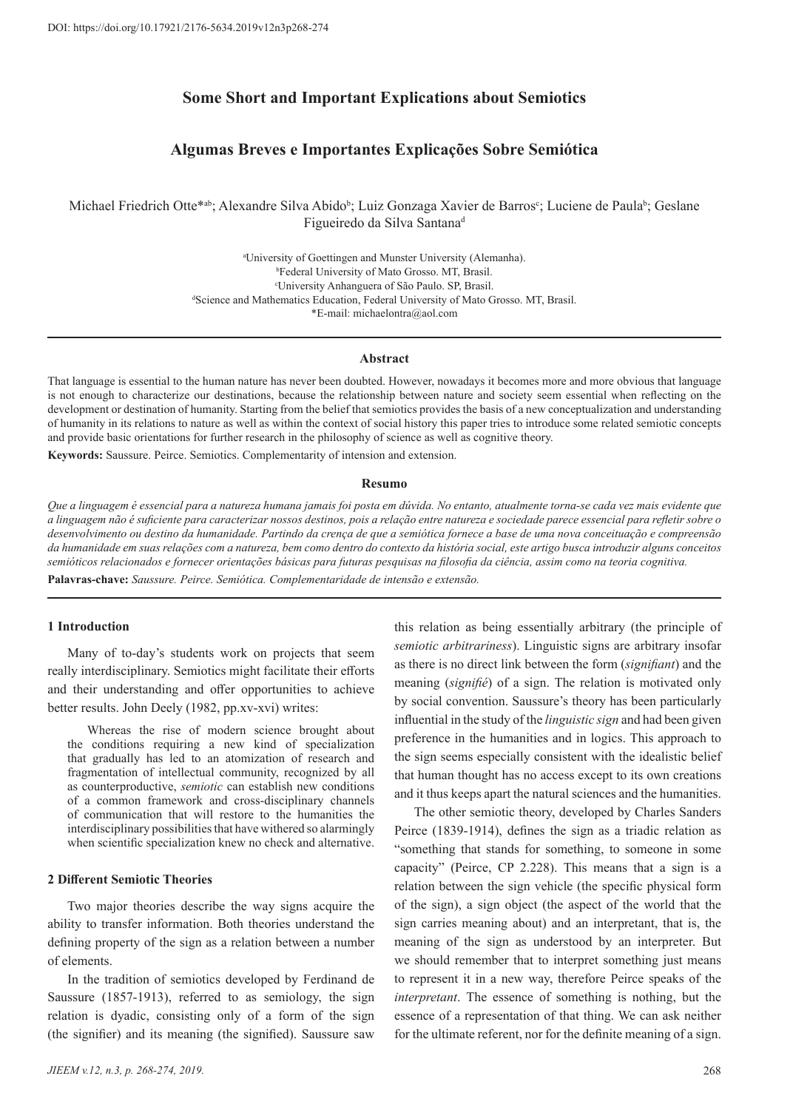Some Short and Important Explications about Semiotics

# **Some Short and Important Explications about Semiotics**

# **Algumas Breves e Importantes Explicações Sobre Semiótica**

Michael Friedrich Otte\*ab; Alexandre Silva Abidob; Luiz Gonzaga Xavier de Barros<sup>e</sup>; Luciene de Paula<sup>b</sup>; Geslane Figueiredo da Silva Santana<sup>d</sup>

> <sup>a</sup> University of Goettingen and Munster University (Alemanha).<br><sup>b</sup> Federal University of Mato Grosso, MT Brasil Federal University of Mato Grosso. MT, Brasil. <sup>c</sup>University Anhanguera of São Paulo. SP, Brasil. University Anhanguera of São Paulo. SP, Brasil. d Science and Mathematics Education, Federal University of Mato Grosso. MT, Brasil. \*E-mail: michaelontra@aol.com

#### **Abstract**

That language is essential to the human nature has never been doubted. However, nowadays it becomes more and more obvious that language is not enough to characterize our destinations, because the relationship between nature and society seem essential when reflecting on the development or destination of humanity. Starting from the belief that semiotics provides the basis of a new conceptualization and understanding of humanity in its relations to nature as well as within the context of social history this paper tries to introduce some related semiotic concepts and provide basic orientations for further research in the philosophy of science as well as cognitive theory.

**Keywords:** Saussure. Peirce. Semiotics. Complementarity of intension and extension.

#### **Resumo**

*Que a linguagem é essencial para a natureza humana jamais foi posta em dúvida. No entanto, atualmente torna-se cada vez mais evidente que a linguagem não é suficiente para caracterizar nossos destinos, pois a relação entre natureza e sociedade parece essencial para refletir sobre o desenvolvimento ou destino da humanidade. Partindo da crença de que a semiótica fornece a base de uma nova conceituação e compreensão da humanidade em suas relações com a natureza, bem como dentro do contexto da história social, este artigo busca introduzir alguns conceitos semióticos relacionados e fornecer orientações básicas para futuras pesquisas na filosofia da ciência, assim como na teoria cognitiva.*  **Palavras-chave:** *Saussure. Peirce. Semiótica. Complementaridade de intensão e extensão.* 

### **1 Introduction**

Many of to-day's students work on projects that seem really interdisciplinary. Semiotics might facilitate their efforts and their understanding and offer opportunities to achieve better results. John Deely (1982, pp.xv-xvi) writes:

Whereas the rise of modern science brought about the conditions requiring a new kind of specialization that gradually has led to an atomization of research and fragmentation of intellectual community, recognized by all as counterproductive, *semiotic* can establish new conditions of a common framework and cross-disciplinary channels of communication that will restore to the humanities the interdisciplinary possibilities that have withered so alarmingly when scientific specialization knew no check and alternative.

### **2 Different Semiotic Theories**

Two major theories describe the way signs acquire the ability to transfer information. Both theories understand the defining property of the sign as a relation between a number of elements.

In the tradition of semiotics developed by Ferdinand de Saussure (1857-1913), referred to as semiology, the sign relation is dyadic, consisting only of a form of the sign (the signifier) and its meaning (the signified). Saussure saw

this relation as being essentially arbitrary (the principle of *semiotic arbitrariness*). Linguistic signs are arbitrary insofar as there is no direct link between the form (*signifiant*) and the meaning (*signifié*) of a sign. The relation is motivated only by social convention. Saussure's theory has been particularly influential in the study of the *linguistic sign* and had been given preference in the humanities and in logics. This approach to the sign seems especially consistent with the idealistic belief that human thought has no access except to its own creations and it thus keeps apart the natural sciences and the humanities.

The other semiotic theory, developed by Charles Sanders Peirce (1839-1914), defines the sign as a triadic relation as "something that stands for something, to someone in some capacity" (Peirce, CP 2.228). This means that a sign is a relation between the sign vehicle (the specific physical form of the sign), a sign object (the aspect of the world that the sign carries meaning about) and an interpretant, that is, the meaning of the sign as understood by an interpreter. But we should remember that to interpret something just means to represent it in a new way, therefore Peirce speaks of the *interpretant*. The essence of something is nothing, but the essence of a representation of that thing. We can ask neither for the ultimate referent, nor for the definite meaning of a sign.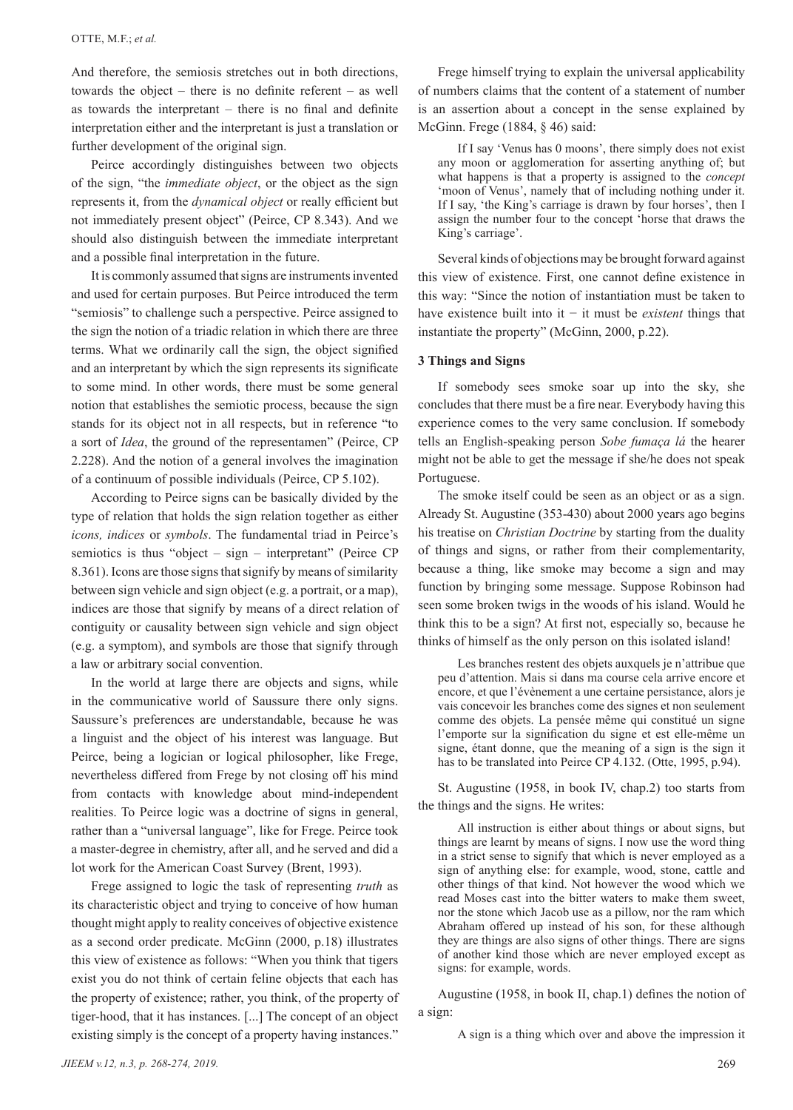And therefore, the semiosis stretches out in both directions, towards the object – there is no definite referent – as well as towards the interpretant – there is no final and definite interpretation either and the interpretant is just a translation or further development of the original sign.

Peirce accordingly distinguishes between two objects of the sign, "the *immediate object*, or the object as the sign represents it, from the *dynamical object* or really efficient but not immediately present object" (Peirce, CP 8.343). And we should also distinguish between the immediate interpretant and a possible final interpretation in the future.

It is commonly assumed that signs are instruments invented and used for certain purposes. But Peirce introduced the term "semiosis" to challenge such a perspective. Peirce assigned to the sign the notion of a triadic relation in which there are three terms. What we ordinarily call the sign, the object signified and an interpretant by which the sign represents its significate to some mind. In other words, there must be some general notion that establishes the semiotic process, because the sign stands for its object not in all respects, but in reference "to a sort of *Idea*, the ground of the representamen" (Peirce, CP 2.228). And the notion of a general involves the imagination of a continuum of possible individuals (Peirce, CP 5.102).

According to Peirce signs can be basically divided by the type of relation that holds the sign relation together as either *icons, indices* or *symbols*. The fundamental triad in Peirce's semiotics is thus "object – sign – interpretant" (Peirce CP 8.361). Icons are those signs that signify by means of similarity between sign vehicle and sign object (e.g. a portrait, or a map), indices are those that signify by means of a direct relation of contiguity or causality between sign vehicle and sign object (e.g. a symptom), and symbols are those that signify through a law or arbitrary social convention.

In the world at large there are objects and signs, while in the communicative world of Saussure there only signs. Saussure's preferences are understandable, because he was a linguist and the object of his interest was language. But Peirce, being a logician or logical philosopher, like Frege, nevertheless differed from Frege by not closing off his mind from contacts with knowledge about mind-independent realities. To Peirce logic was a doctrine of signs in general, rather than a "universal language", like for Frege. Peirce took a master-degree in chemistry, after all, and he served and did a lot work for the American Coast Survey (Brent, 1993).

Frege assigned to logic the task of representing *truth* as its characteristic object and trying to conceive of how human thought might apply to reality conceives of objective existence as a second order predicate. McGinn (2000, p.18) illustrates this view of existence as follows: "When you think that tigers exist you do not think of certain feline objects that each has the property of existence; rather, you think, of the property of tiger-hood, that it has instances. [...] The concept of an object existing simply is the concept of a property having instances."

Frege himself trying to explain the universal applicability of numbers claims that the content of a statement of number is an assertion about a concept in the sense explained by McGinn. Frege (1884, § 46) said:

If I say 'Venus has 0 moons', there simply does not exist any moon or agglomeration for asserting anything of; but what happens is that a property is assigned to the *concept* 'moon of Venus', namely that of including nothing under it. If I say, 'the King's carriage is drawn by four horses', then I assign the number four to the concept 'horse that draws the King's carriage'.

Several kinds of objections may be brought forward against this view of existence. First, one cannot define existence in this way: "Since the notion of instantiation must be taken to have existence built into it − it must be *existent* things that instantiate the property" (McGinn, 2000, p.22).

### **3 Things and Signs**

If somebody sees smoke soar up into the sky, she concludes that there must be a fire near. Everybody having this experience comes to the very same conclusion. If somebody tells an English-speaking person *Sobe fumaça lá* the hearer might not be able to get the message if she/he does not speak Portuguese.

The smoke itself could be seen as an object or as a sign. Already St. Augustine (353-430) about 2000 years ago begins his treatise on *Christian Doctrine* by starting from the duality of things and signs, or rather from their complementarity, because a thing, like smoke may become a sign and may function by bringing some message. Suppose Robinson had seen some broken twigs in the woods of his island. Would he think this to be a sign? At first not, especially so, because he thinks of himself as the only person on this isolated island!

Les branches restent des objets auxquels je n'attribue que peu d'attention. Mais si dans ma course cela arrive encore et encore, et que l'évènement a une certaine persistance, alors je vais concevoir les branches come des signes et non seulement comme des objets. La pensée même qui constitué un signe l'emporte sur la signification du signe et est elle-même un signe, étant donne, que the meaning of a sign is the sign it has to be translated into Peirce CP 4.132. (Otte, 1995, p.94).

St. Augustine (1958, in book IV, chap.2) too starts from the things and the signs. He writes:

All instruction is either about things or about signs, but things are learnt by means of signs. I now use the word thing in a strict sense to signify that which is never employed as a sign of anything else: for example, wood, stone, cattle and other things of that kind. Not however the wood which we read Moses cast into the bitter waters to make them sweet, nor the stone which Jacob use as a pillow, nor the ram which Abraham offered up instead of his son, for these although they are things are also signs of other things. There are signs of another kind those which are never employed except as signs: for example, words.

Augustine (1958, in book II, chap.1) defines the notion of a sign:

A sign is a thing which over and above the impression it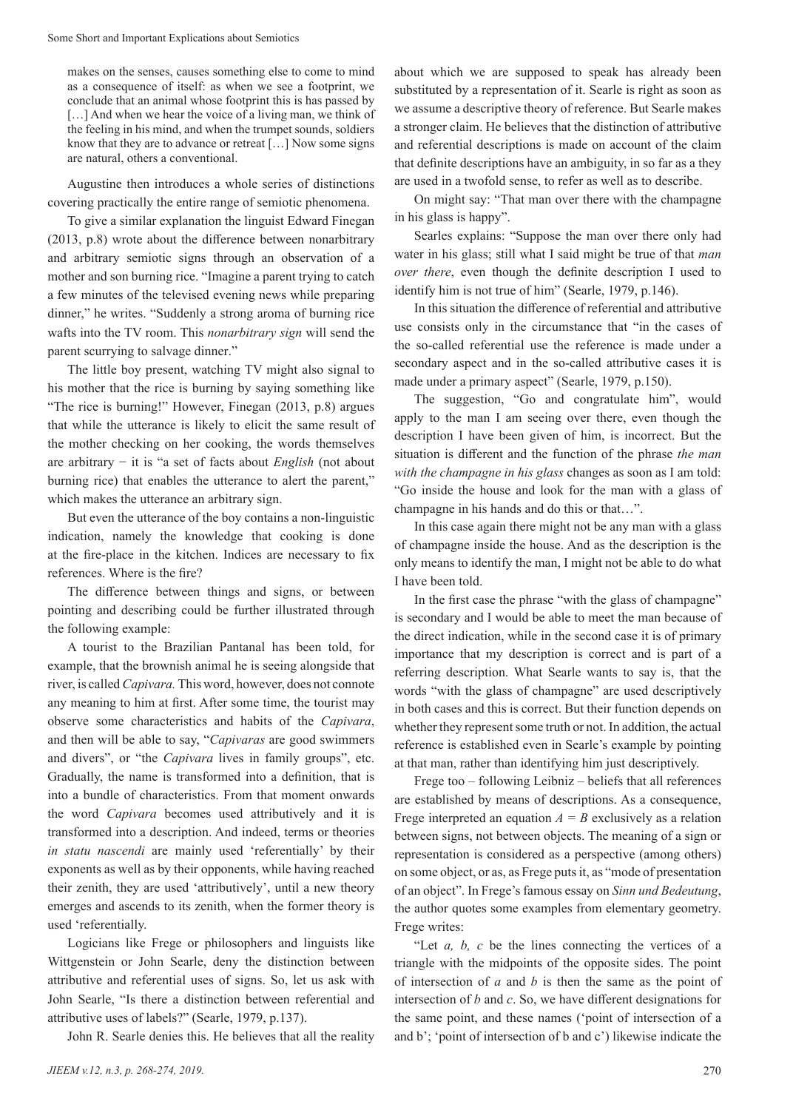makes on the senses, causes something else to come to mind as a consequence of itself: as when we see a footprint, we conclude that an animal whose footprint this is has passed by [...] And when we hear the voice of a living man, we think of the feeling in his mind, and when the trumpet sounds, soldiers know that they are to advance or retreat […] Now some signs are natural, others a conventional.

Augustine then introduces a whole series of distinctions covering practically the entire range of semiotic phenomena.

To give a similar explanation the linguist Edward Finegan (2013, p.8) wrote about the difference between nonarbitrary and arbitrary semiotic signs through an observation of a mother and son burning rice. "Imagine a parent trying to catch a few minutes of the televised evening news while preparing dinner," he writes. "Suddenly a strong aroma of burning rice wafts into the TV room. This *nonarbitrary sign* will send the parent scurrying to salvage dinner."

The little boy present, watching TV might also signal to his mother that the rice is burning by saying something like "The rice is burning!" However, Finegan (2013, p.8) argues that while the utterance is likely to elicit the same result of the mother checking on her cooking, the words themselves are arbitrary − it is "a set of facts about *English* (not about burning rice) that enables the utterance to alert the parent," which makes the utterance an arbitrary sign.

But even the utterance of the boy contains a non-linguistic indication, namely the knowledge that cooking is done at the fire-place in the kitchen. Indices are necessary to fix references. Where is the fire?

The difference between things and signs, or between pointing and describing could be further illustrated through the following example:

A tourist to the Brazilian Pantanal has been told, for example, that the brownish animal he is seeing alongside that river, is called *Capivara.* This word, however, does not connote any meaning to him at first. After some time, the tourist may observe some characteristics and habits of the *Capivara*, and then will be able to say, "*Capivaras* are good swimmers and divers", or "the *Capivara* lives in family groups", etc. Gradually, the name is transformed into a definition, that is into a bundle of characteristics. From that moment onwards the word *Capivara* becomes used attributively and it is transformed into a description. And indeed, terms or theories *in statu nascendi* are mainly used 'referentially' by their exponents as well as by their opponents, while having reached their zenith, they are used 'attributively', until a new theory emerges and ascends to its zenith, when the former theory is used 'referentially.

Logicians like Frege or philosophers and linguists like Wittgenstein or John Searle, deny the distinction between attributive and referential uses of signs. So, let us ask with John Searle, "Is there a distinction between referential and attributive uses of labels?" (Searle, 1979, p.137).

John R. Searle denies this. He believes that all the reality

*JIEEM v.12, n.3, p. 268-274, 2019.* 270

about which we are supposed to speak has already been substituted by a representation of it. Searle is right as soon as we assume a descriptive theory of reference. But Searle makes a stronger claim. He believes that the distinction of attributive and referential descriptions is made on account of the claim that definite descriptions have an ambiguity, in so far as a they are used in a twofold sense, to refer as well as to describe.

On might say: "That man over there with the champagne in his glass is happy".

Searles explains: "Suppose the man over there only had water in his glass; still what I said might be true of that *man over there*, even though the definite description I used to identify him is not true of him" (Searle, 1979, p.146).

In this situation the difference of referential and attributive use consists only in the circumstance that "in the cases of the so-called referential use the reference is made under a secondary aspect and in the so-called attributive cases it is made under a primary aspect" (Searle, 1979, p.150).

The suggestion, "Go and congratulate him", would apply to the man I am seeing over there, even though the description I have been given of him, is incorrect. But the situation is different and the function of the phrase *the man with the champagne in his glass* changes as soon as I am told: "Go inside the house and look for the man with a glass of champagne in his hands and do this or that…".

In this case again there might not be any man with a glass of champagne inside the house. And as the description is the only means to identify the man, I might not be able to do what I have been told.

In the first case the phrase "with the glass of champagne" is secondary and I would be able to meet the man because of the direct indication, while in the second case it is of primary importance that my description is correct and is part of a referring description. What Searle wants to say is, that the words "with the glass of champagne" are used descriptively in both cases and this is correct. But their function depends on whether they represent some truth or not. In addition, the actual reference is established even in Searle's example by pointing at that man, rather than identifying him just descriptively.

Frege too – following Leibniz – beliefs that all references are established by means of descriptions. As a consequence, Frege interpreted an equation  $A = B$  exclusively as a relation between signs, not between objects. The meaning of a sign or representation is considered as a perspective (among others) on some object, or as, as Frege puts it, as "mode of presentation of an object". In Frege's famous essay on *Sinn und Bedeutung*, the author quotes some examples from elementary geometry. Frege writes:

"Let *a, b, c* be the lines connecting the vertices of a triangle with the midpoints of the opposite sides. The point of intersection of *a* and *b* is then the same as the point of intersection of *b* and *c*. So, we have different designations for the same point, and these names ('point of intersection of a and b'; 'point of intersection of b and c') likewise indicate the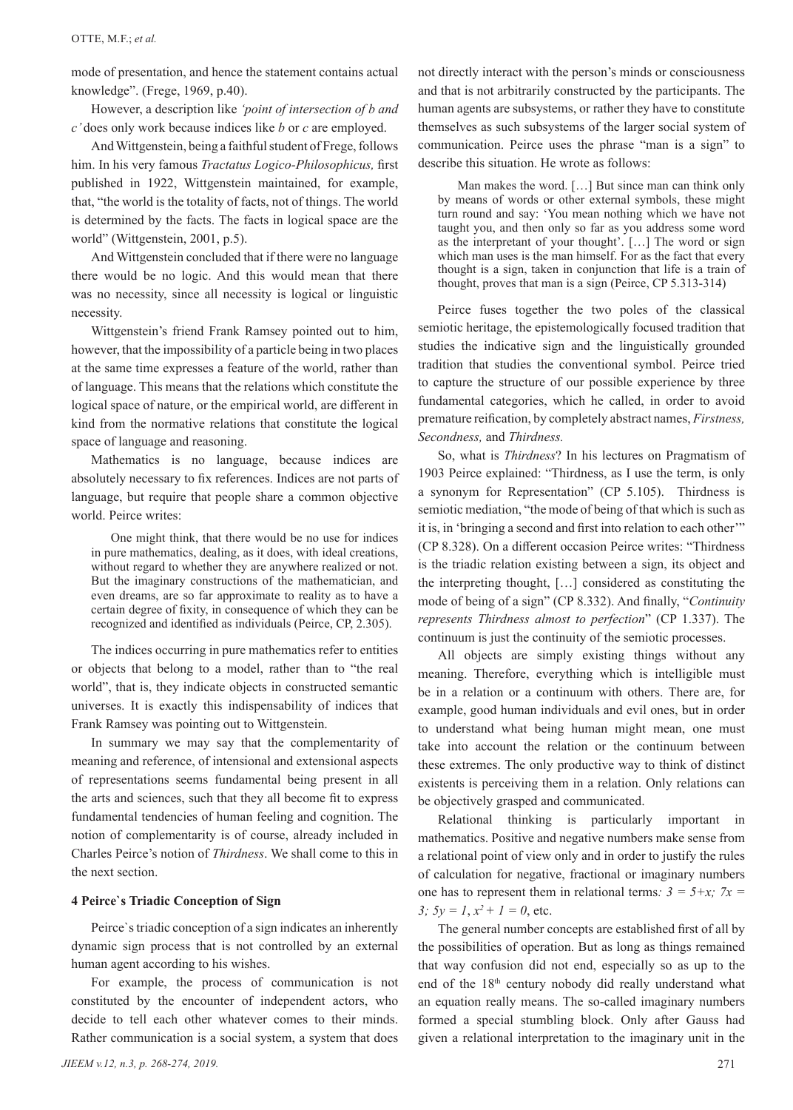mode of presentation, and hence the statement contains actual knowledge". (Frege, 1969, p.40).

However, a description like *'point of intersection of b and c'* does only work because indices like *b* or *c* are employed.

And Wittgenstein, being a faithful student of Frege, follows him. In his very famous *Tractatus Logico-Philosophicus,* first published in 1922, Wittgenstein maintained, for example, that, "the world is the totality of facts, not of things. The world is determined by the facts. The facts in logical space are the world" (Wittgenstein, 2001, p.5).

And Wittgenstein concluded that if there were no language there would be no logic. And this would mean that there was no necessity, since all necessity is logical or linguistic necessity.

Wittgenstein's friend Frank Ramsey pointed out to him, however, that the impossibility of a particle being in two places at the same time expresses a feature of the world, rather than of language. This means that the relations which constitute the logical space of nature, or the empirical world, are different in kind from the normative relations that constitute the logical space of language and reasoning.

Mathematics is no language, because indices are absolutely necessary to fix references. Indices are not parts of language, but require that people share a common objective world. Peirce writes:

One might think, that there would be no use for indices in pure mathematics, dealing, as it does, with ideal creations, without regard to whether they are anywhere realized or not. But the imaginary constructions of the mathematician, and even dreams, are so far approximate to reality as to have a certain degree of fixity, in consequence of which they can be recognized and identified as individuals (Peirce, CP, 2.305).

The indices occurring in pure mathematics refer to entities or objects that belong to a model, rather than to "the real world", that is, they indicate objects in constructed semantic universes. It is exactly this indispensability of indices that Frank Ramsey was pointing out to Wittgenstein.

In summary we may say that the complementarity of meaning and reference, of intensional and extensional aspects of representations seems fundamental being present in all the arts and sciences, such that they all become fit to express fundamental tendencies of human feeling and cognition. The notion of complementarity is of course, already included in Charles Peirce's notion of *Thirdness*. We shall come to this in the next section.

#### **4 Peirce`s Triadic Conception of Sign**

Peirce`s triadic conception of a sign indicates an inherently dynamic sign process that is not controlled by an external human agent according to his wishes.

For example, the process of communication is not constituted by the encounter of independent actors, who decide to tell each other whatever comes to their minds. Rather communication is a social system, a system that does not directly interact with the person's minds or consciousness and that is not arbitrarily constructed by the participants. The human agents are subsystems, or rather they have to constitute themselves as such subsystems of the larger social system of communication. Peirce uses the phrase "man is a sign" to describe this situation. He wrote as follows:

Man makes the word. […] But since man can think only by means of words or other external symbols, these might turn round and say: 'You mean nothing which we have not taught you, and then only so far as you address some word as the interpretant of your thought'. […] The word or sign which man uses is the man himself. For as the fact that every thought is a sign, taken in conjunction that life is a train of thought, proves that man is a sign (Peirce, CP 5.313-314)

Peirce fuses together the two poles of the classical semiotic heritage, the epistemologically focused tradition that studies the indicative sign and the linguistically grounded tradition that studies the conventional symbol. Peirce tried to capture the structure of our possible experience by three fundamental categories, which he called, in order to avoid premature reification, by completely abstract names, *Firstness, Secondness,* and *Thirdness.* 

So, what is *Thirdness*? In his lectures on Pragmatism of 1903 Peirce explained: "Thirdness, as I use the term, is only a synonym for Representation" (CP 5.105). Thirdness is semiotic mediation, "the mode of being of that which is such as it is, in 'bringing a second and first into relation to each other'" (CP 8.328). On a different occasion Peirce writes: "Thirdness is the triadic relation existing between a sign, its object and the interpreting thought, […] considered as constituting the mode of being of a sign" (CP 8.332). And finally, "*Continuity represents Thirdness almost to perfection*" (CP 1.337). The continuum is just the continuity of the semiotic processes.

All objects are simply existing things without any meaning. Therefore, everything which is intelligible must be in a relation or a continuum with others. There are, for example, good human individuals and evil ones, but in order to understand what being human might mean, one must take into account the relation or the continuum between these extremes. The only productive way to think of distinct existents is perceiving them in a relation. Only relations can be objectively grasped and communicated.

Relational thinking is particularly important in mathematics. Positive and negative numbers make sense from a relational point of view only and in order to justify the rules of calculation for negative, fractional or imaginary numbers one has to represent them in relational terms:  $3 = 5+x$ ;  $7x =$ *3;*  $5y = 1, x^2 + 1 = 0$ , etc.

The general number concepts are established first of all by the possibilities of operation. But as long as things remained that way confusion did not end, especially so as up to the end of the 18<sup>th</sup> century nobody did really understand what an equation really means. The so-called imaginary numbers formed a special stumbling block. Only after Gauss had given a relational interpretation to the imaginary unit in the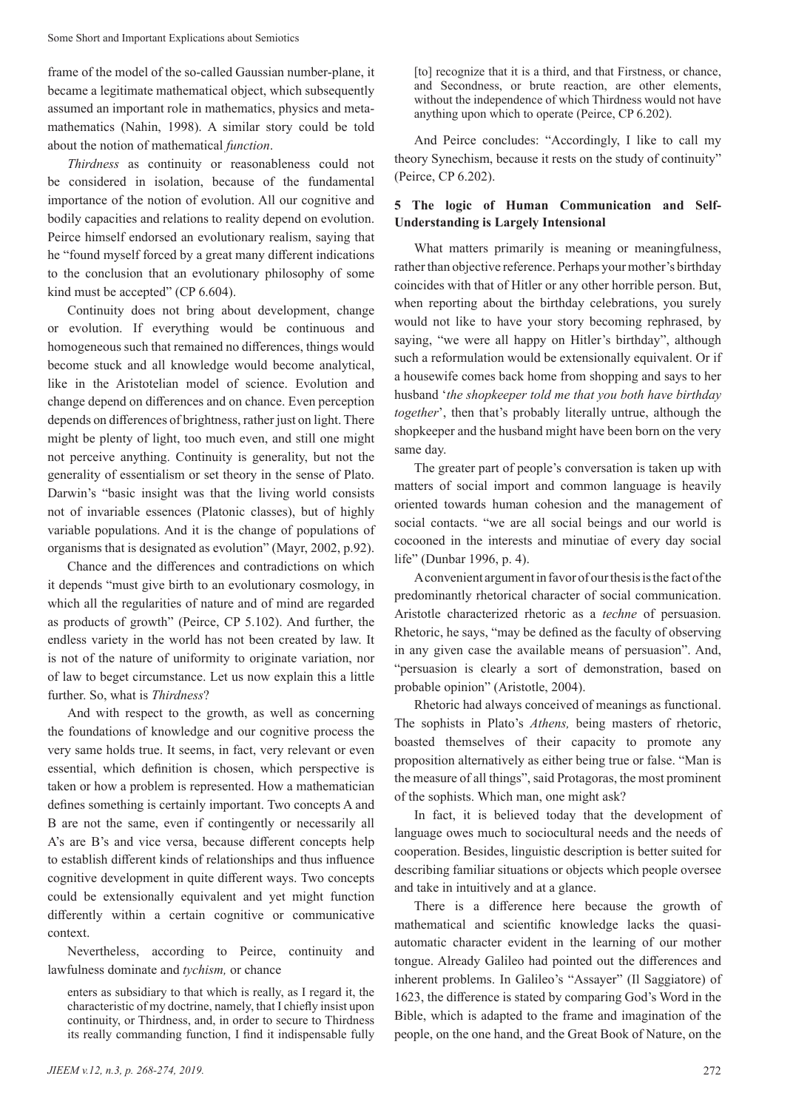frame of the model of the so-called Gaussian number-plane, it became a legitimate mathematical object, which subsequently assumed an important role in mathematics, physics and metamathematics (Nahin, 1998). A similar story could be told about the notion of mathematical *function*.

*Thirdness* as continuity or reasonableness could not be considered in isolation, because of the fundamental importance of the notion of evolution. All our cognitive and bodily capacities and relations to reality depend on evolution. Peirce himself endorsed an evolutionary realism, saying that he "found myself forced by a great many different indications to the conclusion that an evolutionary philosophy of some kind must be accepted" (CP 6.604).

Continuity does not bring about development, change or evolution. If everything would be continuous and homogeneous such that remained no differences, things would become stuck and all knowledge would become analytical, like in the Aristotelian model of science. Evolution and change depend on differences and on chance. Even perception depends on differences of brightness, rather just on light. There might be plenty of light, too much even, and still one might not perceive anything. Continuity is generality, but not the generality of essentialism or set theory in the sense of Plato. Darwin's "basic insight was that the living world consists not of invariable essences (Platonic classes), but of highly variable populations. And it is the change of populations of organisms that is designated as evolution" (Mayr, 2002, p.92).

Chance and the differences and contradictions on which it depends "must give birth to an evolutionary cosmology, in which all the regularities of nature and of mind are regarded as products of growth" (Peirce, CP 5.102). And further, the endless variety in the world has not been created by law. It is not of the nature of uniformity to originate variation, nor of law to beget circumstance. Let us now explain this a little further. So, what is *Thirdness*?

And with respect to the growth, as well as concerning the foundations of knowledge and our cognitive process the very same holds true. It seems, in fact, very relevant or even essential, which definition is chosen, which perspective is taken or how a problem is represented. How a mathematician defines something is certainly important. Two concepts A and B are not the same, even if contingently or necessarily all A's are B's and vice versa, because different concepts help to establish different kinds of relationships and thus influence cognitive development in quite different ways. Two concepts could be extensionally equivalent and yet might function differently within a certain cognitive or communicative context.

Nevertheless, according to Peirce, continuity and lawfulness dominate and *tychism,* or chance

enters as subsidiary to that which is really, as I regard it, the characteristic of my doctrine, namely, that I chiefly insist upon continuity, or Thirdness, and, in order to secure to Thirdness its really commanding function, I find it indispensable fully [to] recognize that it is a third, and that Firstness, or chance, and Secondness, or brute reaction, are other elements, without the independence of which Thirdness would not have anything upon which to operate (Peirce, CP 6.202).

And Peirce concludes: "Accordingly, I like to call my theory Synechism, because it rests on the study of continuity" (Peirce, CP 6.202).

## **5 The logic of Human Communication and Self-Understanding is Largely Intensional**

What matters primarily is meaning or meaningfulness, rather than objective reference. Perhaps your mother's birthday coincides with that of Hitler or any other horrible person. But, when reporting about the birthday celebrations, you surely would not like to have your story becoming rephrased, by saying, "we were all happy on Hitler's birthday", although such a reformulation would be extensionally equivalent. Or if a housewife comes back home from shopping and says to her husband '*the shopkeeper told me that you both have birthday together*', then that's probably literally untrue, although the shopkeeper and the husband might have been born on the very same day.

The greater part of people's conversation is taken up with matters of social import and common language is heavily oriented towards human cohesion and the management of social contacts. "we are all social beings and our world is cocooned in the interests and minutiae of every day social life" (Dunbar 1996, p. 4).

A convenient argument in favor of our thesis is the fact of the predominantly rhetorical character of social communication. Aristotle characterized rhetoric as a *techne* of persuasion. Rhetoric, he says, "may be defined as the faculty of observing in any given case the available means of persuasion". And, "persuasion is clearly a sort of demonstration, based on probable opinion" (Aristotle, 2004).

Rhetoric had always conceived of meanings as functional. The sophists in Plato's *Athens,* being masters of rhetoric, boasted themselves of their capacity to promote any proposition alternatively as either being true or false. "Man is the measure of all things", said Protagoras, the most prominent of the sophists. Which man, one might ask?

In fact, it is believed today that the development of language owes much to sociocultural needs and the needs of cooperation. Besides, linguistic description is better suited for describing familiar situations or objects which people oversee and take in intuitively and at a glance.

There is a difference here because the growth of mathematical and scientific knowledge lacks the quasiautomatic character evident in the learning of our mother tongue. Already Galileo had pointed out the differences and inherent problems. In Galileo's "Assayer" (Il Saggiatore) of 1623, the difference is stated by comparing God's Word in the Bible, which is adapted to the frame and imagination of the people, on the one hand, and the Great Book of Nature, on the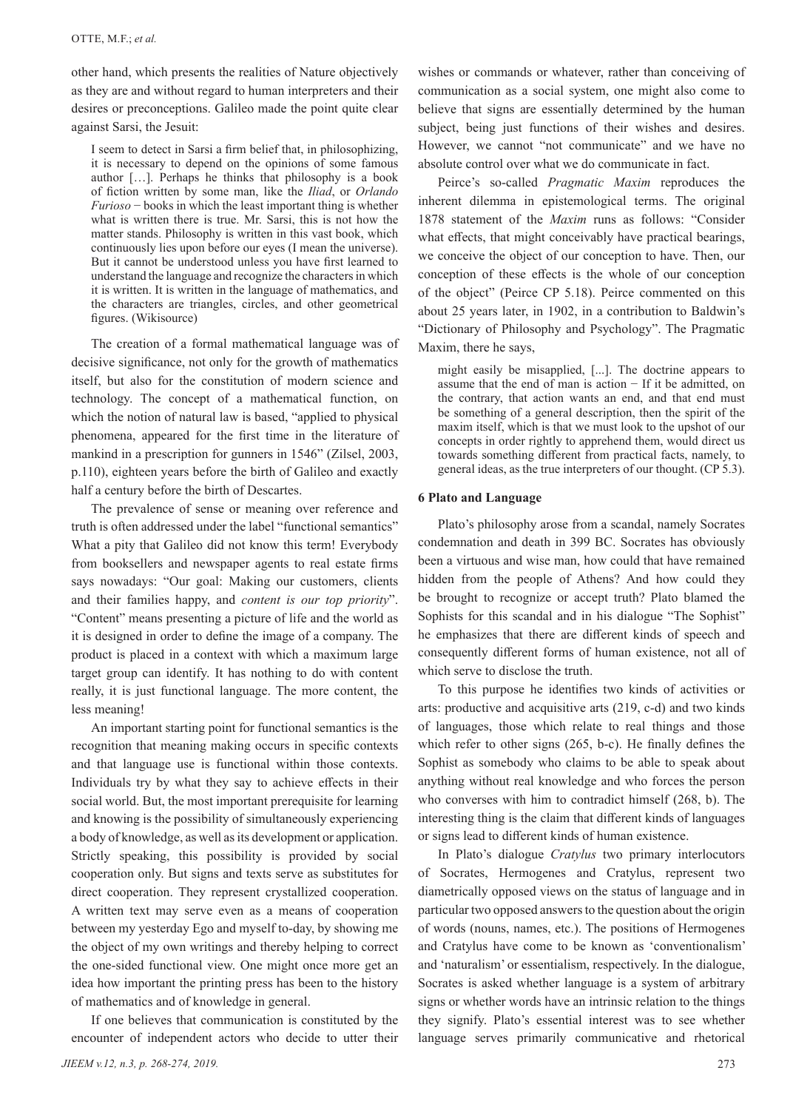other hand, which presents the realities of Nature objectively as they are and without regard to human interpreters and their desires or preconceptions. Galileo made the point quite clear against Sarsi, the Jesuit:

I seem to detect in Sarsi a firm belief that, in philosophizing, it is necessary to depend on the opinions of some famous author […]. Perhaps he thinks that philosophy is a book of fiction written by some man, like the *Iliad*, or *Orlando Furioso* − books in which the least important thing is whether what is written there is true. Mr. Sarsi, this is not how the matter stands. Philosophy is written in this vast book, which continuously lies upon before our eyes (I mean the universe). But it cannot be understood unless you have first learned to understand the language and recognize the characters in which it is written. It is written in the language of mathematics, and the characters are triangles, circles, and other geometrical figures. (Wikisource)

The creation of a formal mathematical language was of decisive significance, not only for the growth of mathematics itself, but also for the constitution of modern science and technology. The concept of a mathematical function, on which the notion of natural law is based, "applied to physical phenomena, appeared for the first time in the literature of mankind in a prescription for gunners in 1546" (Zilsel, 2003, p.110), eighteen years before the birth of Galileo and exactly half a century before the birth of Descartes.

The prevalence of sense or meaning over reference and truth is often addressed under the label "functional semantics" What a pity that Galileo did not know this term! Everybody from booksellers and newspaper agents to real estate firms says nowadays: "Our goal: Making our customers, clients and their families happy, and *content is our top priority*". "Content" means presenting a picture of life and the world as it is designed in order to define the image of a company. The product is placed in a context with which a maximum large target group can identify. It has nothing to do with content really, it is just functional language. The more content, the less meaning!

An important starting point for functional semantics is the recognition that meaning making occurs in specific contexts and that language use is functional within those contexts. Individuals try by what they say to achieve effects in their social world. But, the most important prerequisite for learning and knowing is the possibility of simultaneously experiencing a body of knowledge, as well as its development or application. Strictly speaking, this possibility is provided by social cooperation only. But signs and texts serve as substitutes for direct cooperation. They represent crystallized cooperation. A written text may serve even as a means of cooperation between my yesterday Ego and myself to-day, by showing me the object of my own writings and thereby helping to correct the one-sided functional view. One might once more get an idea how important the printing press has been to the history of mathematics and of knowledge in general.

If one believes that communication is constituted by the encounter of independent actors who decide to utter their

*JIEEM v.12, n.3, p. 268-274, 2019.* 273

wishes or commands or whatever, rather than conceiving of communication as a social system, one might also come to believe that signs are essentially determined by the human subject, being just functions of their wishes and desires. However, we cannot "not communicate" and we have no absolute control over what we do communicate in fact.

Peirce's so-called *Pragmatic Maxim* reproduces the inherent dilemma in epistemological terms. The original 1878 statement of the *Maxim* runs as follows: "Consider what effects, that might conceivably have practical bearings, we conceive the object of our conception to have. Then, our conception of these effects is the whole of our conception of the object" (Peirce CP 5.18). Peirce commented on this about 25 years later, in 1902, in a contribution to Baldwin's "Dictionary of Philosophy and Psychology". The Pragmatic Maxim, there he says,

might easily be misapplied, [...]. The doctrine appears to assume that the end of man is action − If it be admitted, on the contrary, that action wants an end, and that end must be something of a general description, then the spirit of the maxim itself, which is that we must look to the upshot of our concepts in order rightly to apprehend them, would direct us towards something different from practical facts, namely, to general ideas, as the true interpreters of our thought. (CP 5.3).

#### **6 Plato and Language**

Plato's philosophy arose from a scandal, namely Socrates condemnation and death in 399 BC. Socrates has obviously been a virtuous and wise man, how could that have remained hidden from the people of Athens? And how could they be brought to recognize or accept truth? Plato blamed the Sophists for this scandal and in his dialogue "The Sophist" he emphasizes that there are different kinds of speech and consequently different forms of human existence, not all of which serve to disclose the truth.

To this purpose he identifies two kinds of activities or arts: productive and acquisitive arts (219, c-d) and two kinds of languages, those which relate to real things and those which refer to other signs (265, b-c). He finally defines the Sophist as somebody who claims to be able to speak about anything without real knowledge and who forces the person who converses with him to contradict himself (268, b). The interesting thing is the claim that different kinds of languages or signs lead to different kinds of human existence.

In Plato's dialogue *Cratylus* two primary interlocutors of Socrates, Hermogenes and Cratylus, represent two diametrically opposed views on the status of language and in particular two opposed answers to the question about the origin of words (nouns, names, etc.). The positions of Hermogenes and Cratylus have come to be known as 'conventionalism' and 'naturalism' or essentialism, respectively. In the dialogue, Socrates is asked whether language is a system of arbitrary signs or whether words have an intrinsic relation to the things they signify. Plato's essential interest was to see whether language serves primarily communicative and rhetorical